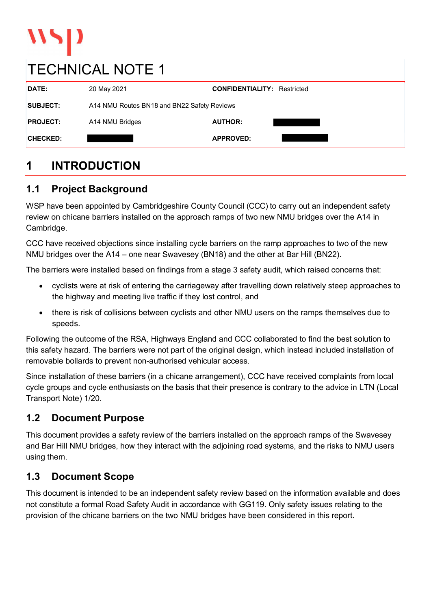# $\mathbf{v}$

# TECHNICAL NOTE 1

| DATE:           | 20 May 2021                                 | <b>CONFIDENTIALITY: Restricted</b> |  |
|-----------------|---------------------------------------------|------------------------------------|--|
| <b>SUBJECT:</b> | A14 NMU Routes BN18 and BN22 Safety Reviews |                                    |  |
| <b>PROJECT:</b> | A14 NMU Bridges                             | <b>AUTHOR:</b>                     |  |
| <b>CHECKED:</b> |                                             | <b>APPROVED:</b>                   |  |
|                 |                                             |                                    |  |

#### $\mathbf 1$ **INTRODUCTION**

# 1.1 Project Background

WSP have been appointed by Cambridgeshire County Council (CCC) to carry out an independent safety review on chicane barriers installed on the approach ramps of two new NMU bridges over the A14 in Cambridge.

CCC have received objections since installing cycle barriers on the ramp approaches to two of the new NMU bridges over the A14 – one near Swavesey (BN18) and the other at Bar Hill (BN22).

The barriers were installed based on findings from a stage 3 safety audit, which raised concerns that:

- cyclists were at risk of entering the carriageway after travelling down relatively steep approaches to the highway and meeting live traffic if they lost control, and
- there is risk of collisions between cyclists and other NMU users on the ramps themselves due to speeds.

Following the outcome of the RSA, Highways England and CCC collaborated to find the best solution to this safety hazard. The barriers were not part of the original design, which instead included installation of removable bollards to prevent non-authorised vehicular access.

Since installation of these barriers (in a chicane arrangement), CCC have received complaints from local cycle groups and cycle enthusiasts on the basis that their presence is contrary to the advice in LTN (Local Transport Note) 1/20.

## 1.2 Document Purpose

This document provides a safety review of the barriers installed on the approach ramps of the Swavesey and Bar Hill NMU bridges, how they interact with the adjoining road systems, and the risks to NMU users using them.

# 1.3 Document Scope

This document is intended to be an independent safety review based on the information available and does speeds.<br>
Speeds.<br>
Following the outcome of the RSA, Highways England and CCC collaborated to find the best solution to<br>
this safety hazard. The barriers were not part of the original design, which instead included installa provision of the chicane barriers on the two NMU bridges have been considered in this report.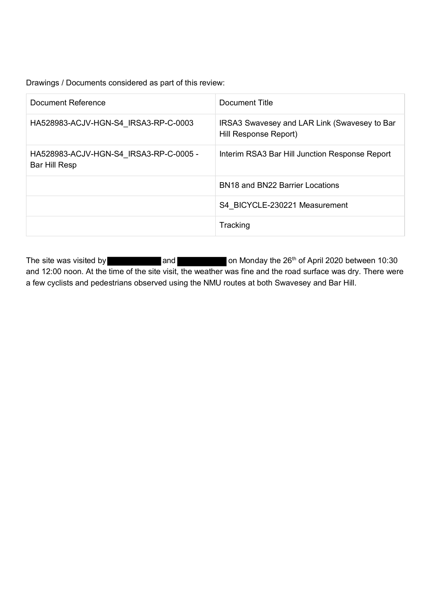| Drawings / Documents considered as part of this review: |                                                                       |
|---------------------------------------------------------|-----------------------------------------------------------------------|
| <b>Document Reference</b>                               | <b>Document Title</b>                                                 |
| HA528983-ACJV-HGN-S4_IRSA3-RP-C-0003                    | IRSA3 Swavesey and LAR Link (Swavesey to Bar<br>Hill Response Report) |
|                                                         |                                                                       |
| HA528983-ACJV-HGN-S4_IRSA3-RP-C-0005 -<br>Bar Hill Resp | Interim RSA3 Bar Hill Junction Response Report                        |
|                                                         | BN18 and BN22 Barrier Locations                                       |
|                                                         | S4_BICYCLE-230221 Measurement                                         |

The site was visited by Manual Manamed Chris Home on Monday the 26<sup>th</sup> of April 2020 between 10:30 and 12:00 noon. At the time of the site visit, the weather was fine and the road surface was dry. There were a few cyclists and pedestrians observed using the NMU routes at both Swavesey and Bar Hill.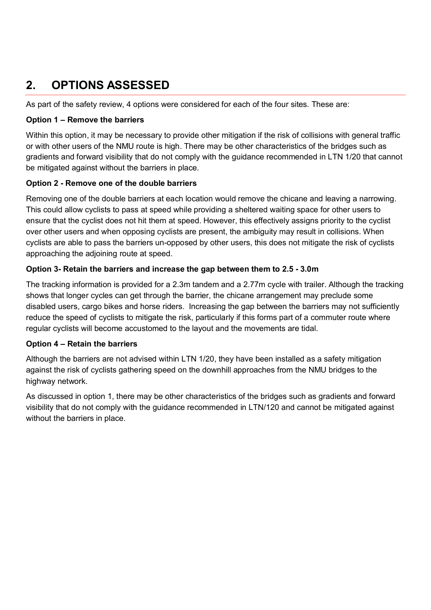# 2. OPTIONS ASSESSED

As part of the safety review, 4 options were considered for each of the four sites. These are:

#### Option 1 – Remove the barriers

Within this option, it may be necessary to provide other mitigation if the risk of collisions with general traffic or with other users of the NMU route is high. There may be other characteristics of the bridges such as gradients and forward visibility that do not comply with the guidance recommended in LTN 1/20 that cannot be mitigated against without the barriers in place.

#### Option 2 - Remove one of the double barriers

Removing one of the double barriers at each location would remove the chicane and leaving a narrowing. This could allow cyclists to pass at speed while providing a sheltered waiting space for other users to ensure that the cyclist does not hit them at speed. However, this effectively assigns priority to the cyclist over other users and when opposing cyclists are present, the ambiguity may result in collisions. When cyclists are able to pass the barriers un-opposed by other users, this does not mitigate the risk of cyclists approaching the adjoining route at speed.

#### Option 3- Retain the barriers and increase the gap between them to 2.5 - 3.0m

The tracking information is provided for a 2.3m tandem and a 2.77m cycle with trailer. Although the tracking shows that longer cycles can get through the barrier, the chicane arrangement may preclude some disabled users, cargo bikes and horse riders. Increasing the gap between the barriers may not sufficiently reduce the speed of cyclists to mitigate the risk, particularly if this forms part of a commuter route where regular cyclists will become accustomed to the layout and the movements are tidal.

#### Option 4 – Retain the barriers

Although the barriers are not advised within LTN 1/20, they have been installed as a safety mitigation against the risk of cyclists gathering speed on the downhill approaches from the NMU bridges to the highway network.

As discussed in option 1, there may be other characteristics of the bridges such as gradients and forward visibility that do not comply with the guidance recommended in LTN/120 and cannot be mitigated against without the barriers in place.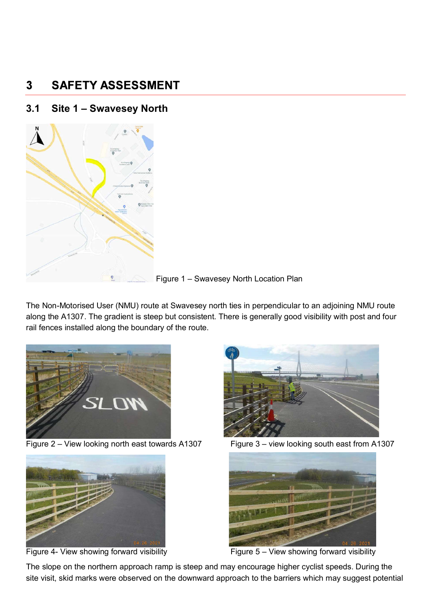#### $\overline{3}$ **SAFETY ASSESSMENT**

#### 3.1 Site 1 – Swavesey North



Figure 1 – Swavesey North Location Plan

The Non-Motorised User (NMU) route at Swavesey north ties in perpendicular to an adjoining NMU route along the A1307. The gradient is steep but consistent. There is generally good visibility with post and four rail fences installed along the boundary of the route.





Figure 4- View showing forward visibility **Figure 5-** View showing forward visibility





The slope on the northern approach ramp is steep and may encourage higher cyclist speeds. During the site visit, skid marks were observed on the downward approach to the barriers which may suggest potential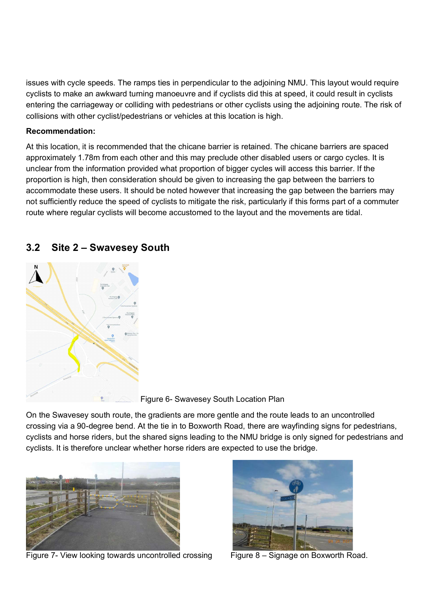issues with cycle speeds. The ramps ties in perpendicular to the adjoining NMU. This layout would require cyclists to make an awkward turning manoeuvre and if cyclists did this at speed, it could result in cyclists entering the carriageway or colliding with pedestrians or other cyclists using the adjoining route. The risk of collisions with other cyclist/pedestrians or vehicles at this location is high.

#### Recommendation:

At this location, it is recommended that the chicane barrier is retained. The chicane barriers are spaced approximately 1.78m from each other and this may preclude other disabled users or cargo cycles. It is unclear from the information provided what proportion of bigger cycles will access this barrier. If the proportion is high, then consideration should be given to increasing the gap between the barriers to accommodate these users. It should be noted however that increasing the gap between the barriers may not sufficiently reduce the speed of cyclists to mitigate the risk, particularly if this forms part of a commuter route where regular cyclists will become accustomed to the layout and the movements are tidal.



#### 3.2 Site 2 – Swavesey South

Figure 6- Swavesey South Location Plan

On the Swavesey south route, the gradients are more gentle and the route leads to an uncontrolled crossing via a 90-degree bend. At the tie in to Boxworth Road, there are wayfinding signs for pedestrians, cyclists and horse riders, but the shared signs leading to the NMU bridge is only signed for pedestrians and cyclists. It is therefore unclear whether horse riders are expected to use the bridge.



Figure 7- View looking towards uncontrolled crossing Figure 8 – Signage on Boxworth Road.

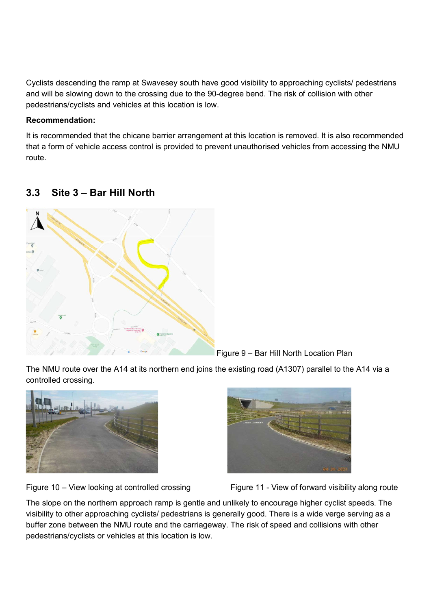Cyclists descending the ramp at Swavesey south have good visibility to approaching cyclists/ pedestrians and will be slowing down to the crossing due to the 90-degree bend. The risk of collision with other pedestrians/cyclists and vehicles at this location is low.

#### Recommendation:

It is recommended that the chicane barrier arrangement at this location is removed. It is also recommended that a form of vehicle access control is provided to prevent unauthorised vehicles from accessing the NMU route.

### 3.3 Site 3 – Bar Hill North



Figure 9 – Bar Hill North Location Plan

The NMU route over the A14 at its northern end joins the existing road (A1307) parallel to the A14 via a controlled crossing.







The slope on the northern approach ramp is gentle and unlikely to encourage higher cyclist speeds. The visibility to other approaching cyclists/ pedestrians is generally good. There is a wide verge serving as a buffer zone between the NMU route and the carriageway. The risk of speed and collisions with other pedestrians/cyclists or vehicles at this location is low.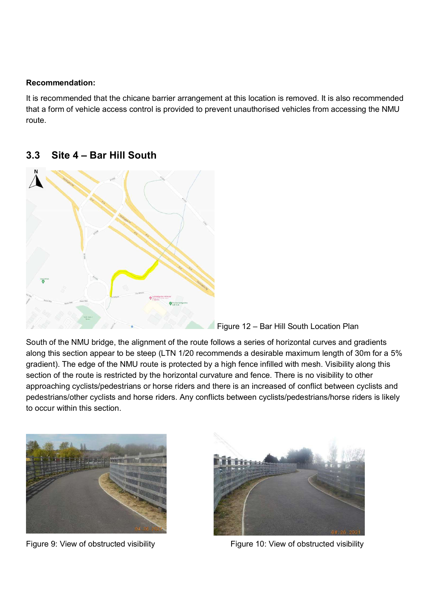#### Recommendation:

It is recommended that the chicane barrier arrangement at this location is removed. It is also recommended that a form of vehicle access control is provided to prevent unauthorised vehicles from accessing the NMU route.

#### 3.3 Site 4 – Bar Hill South



Figure 12 – Bar Hill South Location Plan

South of the NMU bridge, the alignment of the route follows a series of horizontal curves and gradients along this section appear to be steep (LTN 1/20 recommends a desirable maximum length of 30m for a 5% gradient). The edge of the NMU route is protected by a high fence infilled with mesh. Visibility along this section of the route is restricted by the horizontal curvature and fence. There is no visibility to other approaching cyclists/pedestrians or horse riders and there is an increased of conflict between cyclists and pedestrians/other cyclists and horse riders. Any conflicts between cyclists/pedestrians/horse riders is likely to occur within this section. Explore 9: View of obstructed visibility<br>Figure 9: View of obstructed visibility<br>since the numerical curvature and fence. There is no visibility along this<br>section of the route is restricted by the horizontal curvature and